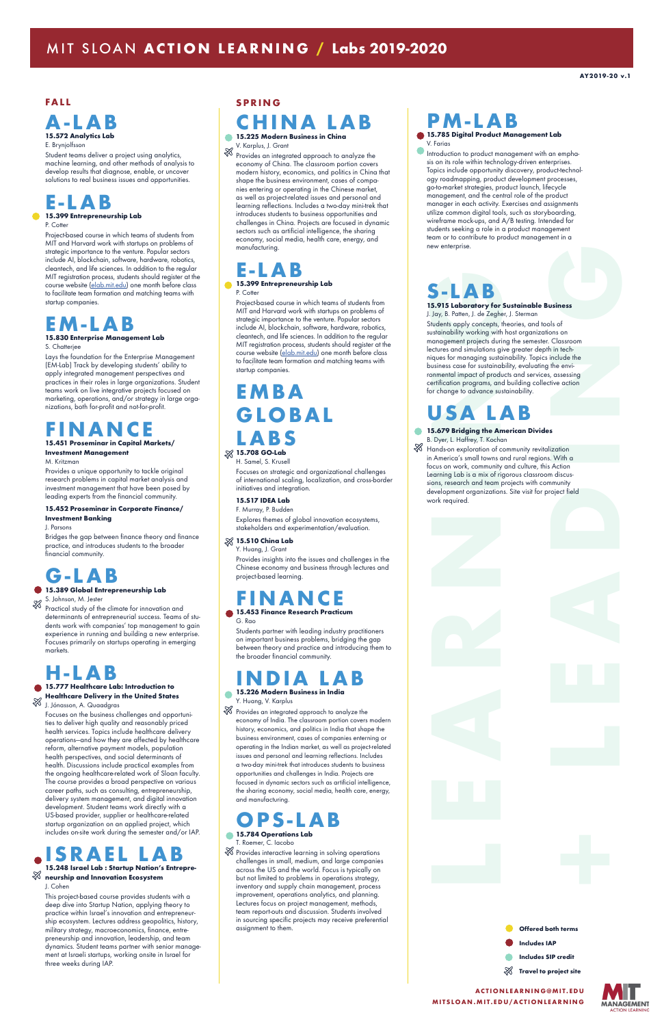

### **FALL**

### **A-LAB 15.572 Analytics Lab**

#### E. Brynjolfsson

Student teams deliver a project using analytics, machine learning, and other methods of analysis to develop results that diagnose, enable, or uncover solutions to real business issues and opportunities.

## **E-LAB**

### **15.399 Entrepreneurship Lab**

#### P. Cotter

Project-based course in which teams of students from MIT and Harvard work with startups on problems of strategic importance to the venture. Popular sectors include AI, blockchain, software, hardware, robotics, cleantech, and life sciences. In addition to the regular MIT registration process, students should register at the course website (elab.mit.edu) one month before class to facilitate team formation and matching teams with startup companies.

# **EM-LAB**

### **15.830 Enterprise Management Lab** S. Chatterjee

S. Johnson, M. Jester ZZ

Lays the foundation for the Enterprise Management (EM-Lab) Track by developing students' ability to apply integrated management perspectives and practices in their roles in large organizations. Student teams work on live integrative projects focused on marketing, operations, and/or strategy in large organizations, both for-profit and not-for-profit.

# **FINANCE**

### **15.451 Proseminar in Capital Markets/ Investment Management**

M. Kritzman

Provides a unique opportunity to tackle original research problems in capital market analysis and investment management that have been posed by leading experts from the financial community.

#### **15.452 Proseminar in Corporate Finance/ Investment Banking**

J. Parsons

Bridges the gap between finance theory and finance practice, and introduces students to the broader financial community.

# **G-LAB**

### **15.389 Global Entrepreneurship Lab**

Practical study of the climate for innovation and determinants of entrepreneurial success. Teams of students work with companies' top management to gain experience in running and building a new enterprise. Focuses primarily on startups operating in emerging markets.

# **H-LAB**

### **15.777 Healthcare Lab: Introduction to**

 $\%$  Provides an integrated approach to analyze the economy of China. The classroom portion covers modern history, economics, and politics in China that shape the business environment, cases of companies entering or operating in the Chinese market, as well as project-related issues and personal and learning reflections. Includes a two-day mini-trek that introduces students to business opportunities and challenges in China. Projects are focused in dynamic sectors such as artificial intelligence, the sharing economy, social media, health care, energy, and manufacturing.

**Healthcare Delivery in the United States** ℅ J. Jónasson, A. Quaadgras

Focuses on the business challenges and opportunities to deliver high quality and reasonably priced health services. Topics include healthcare delivery operations-and how they are affected by healthcare reform, alternative payment models, population health perspectives, and social determinants of health. Discussions include practical examples from the ongoing healthcare-related work of Sloan faculty. The course provides a broad perspective on various career paths, such as consulting, entrepreneurship, delivery system management, and digital innovation development. Student teams work directly with a US-based provider, supplier or healthcare-related startup organization on an applied project, which includes on-site work during the semester and/or IAP.

### **INDIA LAB 15.226 Modern Business in India**  $\bullet$

 $\%$  Provides an integrated approach to analyze the economy of India. The classroom portion covers modern history, economics, and politics in India that shape the business environment, cases of companies enterning or operating in the Indian market, as well as project-related

### **ISRAEL LAB 15.248 Israel Lab : Startup Nation's Entrepre-**ℬ **neurship and Innovation Ecosystem** J. Cohen

#### This project-based course provides students with a deep dive into Startup Nation, applying theory to practice within Israel's innovation and entrepreneurship ecosystem. Lectures address geopolitics, history, military strategy, macroeconomics, finance, entrepreneurship and innovation, leadership, and team dynamics. Student teams partner with senior management at Israeli startups, working onsite in Israel for three weeks during IAP.

 $\%$  Provides interactive learning in solving operations challenges in small, medium, and large companies across the US and the world. Focus is typically on but not limited to problems in operations strategy, inventory and supply chain management, process improvement, operations analytics, and planning. Lectures focus on project management, methods, team report-outs and discussion. Students involved in sourcing specific projects may receive preferential assignment to them.

### **SPRING**

## **CHINA LAB**

**15.225 Modern Business in China** 

V. Karplus, J. Grant

Introduction to product management with an emphasis on its role within technology-driven enterprises. Topics include opportunity discovery, product-technology roadmapping, product development processes, go-to-market strategies, product launch, lifecycle management, and the central role of the product manager in each activity. Exercises and assignments utilize common digital tools, such as storyboarding, wireframe mock-ups, and A/B testing. Intended for students seeking a role in a product management team or to contribute to product management in a new enterprise.

**15.679 Bridging the American Divides** B. Dyer, L. Haffrey, T. Kochan

 $\%$  Hands-on exploration of community revitalization in America's small towns and rural regions. With a focus on work, community and culture, this Action Learning Lab is a mix of rigorous classroom discussions, research and team projects with community development organizations. Site visit for project field work required.

### **E-LAB 15.399 Entrepreneurship Lab**

P. Cotter

Project-based course in which teams of students from MIT and Harvard work with startups on problems of strategic importance to the venture. Popular sectors include AI, blockchain, software, hardware, robotics, cleantech, and life sciences. In addition to the regular MIT registration process, students should register at the course website (elab.mit.edu) one month before class to facilitate team formation and matching teams with startup companies.

## **EMBA GLOBAL LABS 15.708 GO-Lab**

H. Samel, S. Krusell

Focuses on strategic and organizational challenges of international scaling, localization, and cross-border initiatives and integration.

#### **15.S17 IDEA Lab** F. Murray, P. Budden

Explores themes of global innovation ecosystems, stakeholders and experimentation/evaluation.

### **15.S10 China Lab**

Y. Huang, J. Grant

Provides insights into the issues and challenges in the Chinese economy and business through lectures and project-based learning.

# **FINANCE**

### **15.453 Finance Research Practicum** G. Rao

Students partner with leading industry practitioners on important business problems, bridging the gap between theory and practice and introducing them to the broader financial community.

Y. Huang, V. Karplus

issues and personal and learning reflections. Includes a two-day mini-trek that introduces students to business opportunities and challenges in India. Projects are focused in dynamic sectors such as artificial intelligence, the sharing economy, social media, health care, energy, and manufacturing.

# **OPS-LAB**

### **15.784 Operations Lab**

T. Roemer, C. Iacobo

# **PM-LAB**

**15.785 Digital Product Management Lab** V. Farias

# **S-LAB**

**15.915 Laboratory for Sustainable Business** J. Jay, B. Patten, J. de Zegher, J. Sterman

Students apply concepts, theories, and tools of sustainability working with host organizations on management projects during the semester. Classroom lectures and simulations give greater depth in techniques for managing sustainability. Topics include the business case for sustainability, evaluating the environmental impact of products and services, assessing certification programs, and building collective action for change to advance sustainability.

# **USA LAB**

### MIT SLOAN **ACTION LEARNING / Labs 2019-2020**



### **AC T I O N L E A R N I N G @ M I T. E D U MITSLOAN.MIT.EDU/ACTIONLEARNING**